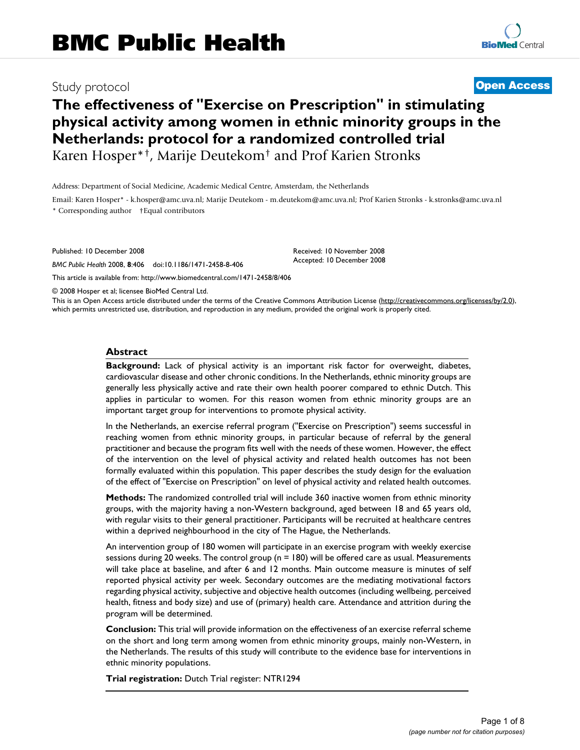# Study protocol **[Open Access](http://www.biomedcentral.com/info/about/charter/)**

# **The effectiveness of "Exercise on Prescription" in stimulating physical activity among women in ethnic minority groups in the Netherlands: protocol for a randomized controlled trial** Karen Hosper\*†, Marije Deutekom† and Prof Karien Stronks

Address: Department of Social Medicine, Academic Medical Centre, Amsterdam, the Netherlands

Email: Karen Hosper\* - k.hosper@amc.uva.nl; Marije Deutekom - m.deutekom@amc.uva.nl; Prof Karien Stronks - k.stronks@amc.uva.nl \* Corresponding author †Equal contributors

Published: 10 December 2008

*BMC Public Health* 2008, **8**:406 doi:10.1186/1471-2458-8-406

Received: 10 November 2008 Accepted: 10 December 2008

[This article is available from: http://www.biomedcentral.com/1471-2458/8/406](http://www.biomedcentral.com/1471-2458/8/406)

© 2008 Hosper et al; licensee BioMed Central Ltd.

This is an Open Access article distributed under the terms of the Creative Commons Attribution License [\(http://creativecommons.org/licenses/by/2.0\)](http://creativecommons.org/licenses/by/2.0), which permits unrestricted use, distribution, and reproduction in any medium, provided the original work is properly cited.

#### **Abstract**

**Background:** Lack of physical activity is an important risk factor for overweight, diabetes, cardiovascular disease and other chronic conditions. In the Netherlands, ethnic minority groups are generally less physically active and rate their own health poorer compared to ethnic Dutch. This applies in particular to women. For this reason women from ethnic minority groups are an important target group for interventions to promote physical activity.

In the Netherlands, an exercise referral program ("Exercise on Prescription") seems successful in reaching women from ethnic minority groups, in particular because of referral by the general practitioner and because the program fits well with the needs of these women. However, the effect of the intervention on the level of physical activity and related health outcomes has not been formally evaluated within this population. This paper describes the study design for the evaluation of the effect of "Exercise on Prescription" on level of physical activity and related health outcomes.

**Methods:** The randomized controlled trial will include 360 inactive women from ethnic minority groups, with the majority having a non-Western background, aged between 18 and 65 years old, with regular visits to their general practitioner. Participants will be recruited at healthcare centres within a deprived neighbourhood in the city of The Hague, the Netherlands.

An intervention group of 180 women will participate in an exercise program with weekly exercise sessions during 20 weeks. The control group (n = 180) will be offered care as usual. Measurements will take place at baseline, and after 6 and 12 months. Main outcome measure is minutes of self reported physical activity per week. Secondary outcomes are the mediating motivational factors regarding physical activity, subjective and objective health outcomes (including wellbeing, perceived health, fitness and body size) and use of (primary) health care. Attendance and attrition during the program will be determined.

**Conclusion:** This trial will provide information on the effectiveness of an exercise referral scheme on the short and long term among women from ethnic minority groups, mainly non-Western, in the Netherlands. The results of this study will contribute to the evidence base for interventions in ethnic minority populations.

**Trial registration:** Dutch Trial register: NTR1294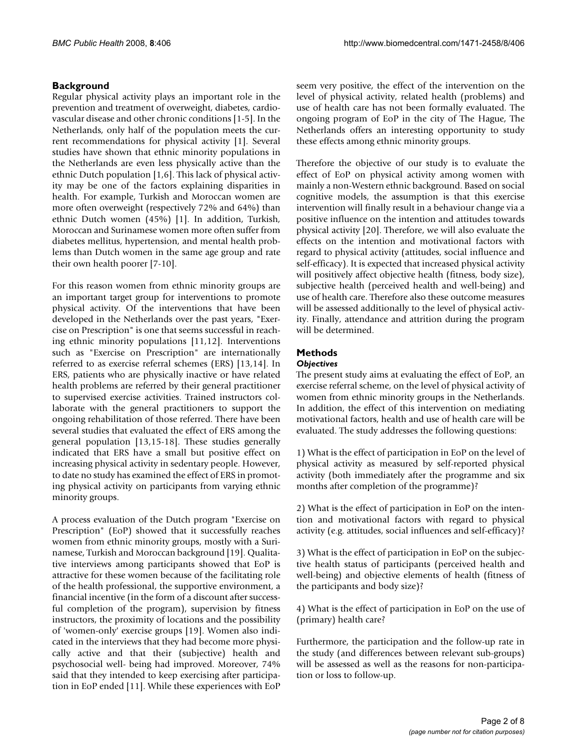# **Background**

Regular physical activity plays an important role in the prevention and treatment of overweight, diabetes, cardiovascular disease and other chronic conditions [1-5]. In the Netherlands, only half of the population meets the current recommendations for physical activity [1]. Several studies have shown that ethnic minority populations in the Netherlands are even less physically active than the ethnic Dutch population [1,6]. This lack of physical activity may be one of the factors explaining disparities in health. For example, Turkish and Moroccan women are more often overweight (respectively 72% and 64%) than ethnic Dutch women (45%) [1]. In addition, Turkish, Moroccan and Surinamese women more often suffer from diabetes mellitus, hypertension, and mental health problems than Dutch women in the same age group and rate their own health poorer [7-10].

For this reason women from ethnic minority groups are an important target group for interventions to promote physical activity. Of the interventions that have been developed in the Netherlands over the past years, "Exercise on Prescription" is one that seems successful in reaching ethnic minority populations [11,12]. Interventions such as "Exercise on Prescription" are internationally referred to as exercise referral schemes (ERS) [13,14]. In ERS, patients who are physically inactive or have related health problems are referred by their general practitioner to supervised exercise activities. Trained instructors collaborate with the general practitioners to support the ongoing rehabilitation of those referred. There have been several studies that evaluated the effect of ERS among the general population [13,15-18]. These studies generally indicated that ERS have a small but positive effect on increasing physical activity in sedentary people. However, to date no study has examined the effect of ERS in promoting physical activity on participants from varying ethnic minority groups.

A process evaluation of the Dutch program "Exercise on Prescription" (EoP) showed that it successfully reaches women from ethnic minority groups, mostly with a Surinamese, Turkish and Moroccan background [19]. Qualitative interviews among participants showed that EoP is attractive for these women because of the facilitating role of the health professional, the supportive environment, a financial incentive (in the form of a discount after successful completion of the program), supervision by fitness instructors, the proximity of locations and the possibility of 'women-only' exercise groups [19]. Women also indicated in the interviews that they had become more physically active and that their (subjective) health and psychosocial well- being had improved. Moreover, 74% said that they intended to keep exercising after participation in EoP ended [11]. While these experiences with EoP

seem very positive, the effect of the intervention on the level of physical activity, related health (problems) and use of health care has not been formally evaluated. The ongoing program of EoP in the city of The Hague, The Netherlands offers an interesting opportunity to study these effects among ethnic minority groups.

Therefore the objective of our study is to evaluate the effect of EoP on physical activity among women with mainly a non-Western ethnic background. Based on social cognitive models, the assumption is that this exercise intervention will finally result in a behaviour change via a positive influence on the intention and attitudes towards physical activity [20]. Therefore, we will also evaluate the effects on the intention and motivational factors with regard to physical activity (attitudes, social influence and self-efficacy). It is expected that increased physical activity will positively affect objective health (fitness, body size), subjective health (perceived health and well-being) and use of health care. Therefore also these outcome measures will be assessed additionally to the level of physical activity. Finally, attendance and attrition during the program will be determined.

# **Methods**

# *Objectives*

The present study aims at evaluating the effect of EoP, an exercise referral scheme, on the level of physical activity of women from ethnic minority groups in the Netherlands. In addition, the effect of this intervention on mediating motivational factors, health and use of health care will be evaluated. The study addresses the following questions:

1) What is the effect of participation in EoP on the level of physical activity as measured by self-reported physical activity (both immediately after the programme and six months after completion of the programme)?

2) What is the effect of participation in EoP on the intention and motivational factors with regard to physical activity (e.g. attitudes, social influences and self-efficacy)?

3) What is the effect of participation in EoP on the subjective health status of participants (perceived health and well-being) and objective elements of health (fitness of the participants and body size)?

4) What is the effect of participation in EoP on the use of (primary) health care?

Furthermore, the participation and the follow-up rate in the study (and differences between relevant sub-groups) will be assessed as well as the reasons for non-participation or loss to follow-up.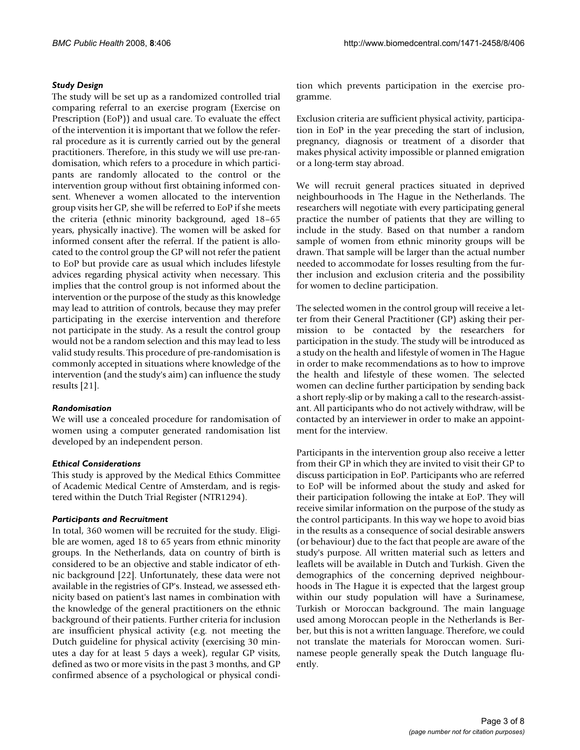# *Study Design*

The study will be set up as a randomized controlled trial comparing referral to an exercise program (Exercise on Prescription (EoP)) and usual care. To evaluate the effect of the intervention it is important that we follow the referral procedure as it is currently carried out by the general practitioners. Therefore, in this study we will use pre-randomisation, which refers to a procedure in which participants are randomly allocated to the control or the intervention group without first obtaining informed consent. Whenever a women allocated to the intervention group visits her GP, she will be referred to EoP if she meets the criteria (ethnic minority background, aged 18–65 years, physically inactive). The women will be asked for informed consent after the referral. If the patient is allocated to the control group the GP will not refer the patient to EoP but provide care as usual which includes lifestyle advices regarding physical activity when necessary. This implies that the control group is not informed about the intervention or the purpose of the study as this knowledge may lead to attrition of controls, because they may prefer participating in the exercise intervention and therefore not participate in the study. As a result the control group would not be a random selection and this may lead to less valid study results. This procedure of pre-randomisation is commonly accepted in situations where knowledge of the intervention (and the study's aim) can influence the study results [21].

# *Randomisation*

We will use a concealed procedure for randomisation of women using a computer generated randomisation list developed by an independent person.

# *Ethical Considerations*

This study is approved by the Medical Ethics Committee of Academic Medical Centre of Amsterdam, and is registered within the Dutch Trial Register (NTR1294).

# *Participants and Recruitment*

In total, 360 women will be recruited for the study. Eligible are women, aged 18 to 65 years from ethnic minority groups. In the Netherlands, data on country of birth is considered to be an objective and stable indicator of ethnic background [22]. Unfortunately, these data were not available in the registries of GP's. Instead, we assessed ethnicity based on patient's last names in combination with the knowledge of the general practitioners on the ethnic background of their patients. Further criteria for inclusion are insufficient physical activity (e.g. not meeting the Dutch guideline for physical activity (exercising 30 minutes a day for at least 5 days a week), regular GP visits, defined as two or more visits in the past 3 months, and GP confirmed absence of a psychological or physical condition which prevents participation in the exercise programme.

Exclusion criteria are sufficient physical activity, participation in EoP in the year preceding the start of inclusion, pregnancy, diagnosis or treatment of a disorder that makes physical activity impossible or planned emigration or a long-term stay abroad.

We will recruit general practices situated in deprived neighbourhoods in The Hague in the Netherlands. The researchers will negotiate with every participating general practice the number of patients that they are willing to include in the study. Based on that number a random sample of women from ethnic minority groups will be drawn. That sample will be larger than the actual number needed to accommodate for losses resulting from the further inclusion and exclusion criteria and the possibility for women to decline participation.

The selected women in the control group will receive a letter from their General Practitioner (GP) asking their permission to be contacted by the researchers for participation in the study. The study will be introduced as a study on the health and lifestyle of women in The Hague in order to make recommendations as to how to improve the health and lifestyle of these women. The selected women can decline further participation by sending back a short reply-slip or by making a call to the research-assistant. All participants who do not actively withdraw, will be contacted by an interviewer in order to make an appointment for the interview.

Participants in the intervention group also receive a letter from their GP in which they are invited to visit their GP to discuss participation in EoP. Participants who are referred to EoP will be informed about the study and asked for their participation following the intake at EoP. They will receive similar information on the purpose of the study as the control participants. In this way we hope to avoid bias in the results as a consequence of social desirable answers (or behaviour) due to the fact that people are aware of the study's purpose. All written material such as letters and leaflets will be available in Dutch and Turkish. Given the demographics of the concerning deprived neighbourhoods in The Hague it is expected that the largest group within our study population will have a Surinamese, Turkish or Moroccan background. The main language used among Moroccan people in the Netherlands is Berber, but this is not a written language. Therefore, we could not translate the materials for Moroccan women. Surinamese people generally speak the Dutch language fluently.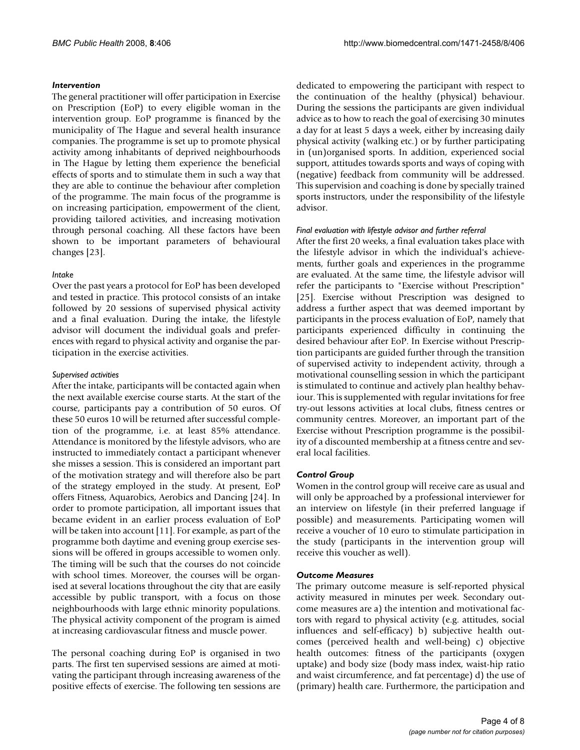## *Intervention*

The general practitioner will offer participation in Exercise on Prescription (EoP) to every eligible woman in the intervention group. EoP programme is financed by the municipality of The Hague and several health insurance companies. The programme is set up to promote physical activity among inhabitants of deprived neighbourhoods in The Hague by letting them experience the beneficial effects of sports and to stimulate them in such a way that they are able to continue the behaviour after completion of the programme. The main focus of the programme is on increasing participation, empowerment of the client, providing tailored activities, and increasing motivation through personal coaching. All these factors have been shown to be important parameters of behavioural changes [23].

# *Intake*

Over the past years a protocol for EoP has been developed and tested in practice. This protocol consists of an intake followed by 20 sessions of supervised physical activity and a final evaluation. During the intake, the lifestyle advisor will document the individual goals and preferences with regard to physical activity and organise the participation in the exercise activities.

# *Supervised activities*

After the intake, participants will be contacted again when the next available exercise course starts. At the start of the course, participants pay a contribution of 50 euros. Of these 50 euros 10 will be returned after successful completion of the programme, i.e. at least 85% attendance. Attendance is monitored by the lifestyle advisors, who are instructed to immediately contact a participant whenever she misses a session. This is considered an important part of the motivation strategy and will therefore also be part of the strategy employed in the study. At present, EoP offers Fitness, Aquarobics, Aerobics and Dancing [24]. In order to promote participation, all important issues that became evident in an earlier process evaluation of EoP will be taken into account [11]. For example, as part of the programme both daytime and evening group exercise sessions will be offered in groups accessible to women only. The timing will be such that the courses do not coincide with school times. Moreover, the courses will be organised at several locations throughout the city that are easily accessible by public transport, with a focus on those neighbourhoods with large ethnic minority populations. The physical activity component of the program is aimed at increasing cardiovascular fitness and muscle power.

The personal coaching during EoP is organised in two parts. The first ten supervised sessions are aimed at motivating the participant through increasing awareness of the positive effects of exercise. The following ten sessions are dedicated to empowering the participant with respect to the continuation of the healthy (physical) behaviour. During the sessions the participants are given individual advice as to how to reach the goal of exercising 30 minutes a day for at least 5 days a week, either by increasing daily physical activity (walking etc.) or by further participating in (un)organised sports. In addition, experienced social support, attitudes towards sports and ways of coping with (negative) feedback from community will be addressed. This supervision and coaching is done by specially trained sports instructors, under the responsibility of the lifestyle advisor.

# *Final evaluation with lifestyle advisor and further referral*

After the first 20 weeks, a final evaluation takes place with the lifestyle advisor in which the individual's achievements, further goals and experiences in the programme are evaluated. At the same time, the lifestyle advisor will refer the participants to "Exercise without Prescription" [25]. Exercise without Prescription was designed to address a further aspect that was deemed important by participants in the process evaluation of EoP, namely that participants experienced difficulty in continuing the desired behaviour after EoP. In Exercise without Prescription participants are guided further through the transition of supervised activity to independent activity, through a motivational counselling session in which the participant is stimulated to continue and actively plan healthy behaviour. This is supplemented with regular invitations for free try-out lessons activities at local clubs, fitness centres or community centres. Moreover, an important part of the Exercise without Prescription programme is the possibility of a discounted membership at a fitness centre and several local facilities.

# *Control Group*

Women in the control group will receive care as usual and will only be approached by a professional interviewer for an interview on lifestyle (in their preferred language if possible) and measurements. Participating women will receive a voucher of 10 euro to stimulate participation in the study (participants in the intervention group will receive this voucher as well).

#### *Outcome Measures*

The primary outcome measure is self-reported physical activity measured in minutes per week. Secondary outcome measures are a) the intention and motivational factors with regard to physical activity (e.g. attitudes, social influences and self-efficacy) b) subjective health outcomes (perceived health and well-being) c) objective health outcomes: fitness of the participants (oxygen uptake) and body size (body mass index, waist-hip ratio and waist circumference, and fat percentage) d) the use of (primary) health care. Furthermore, the participation and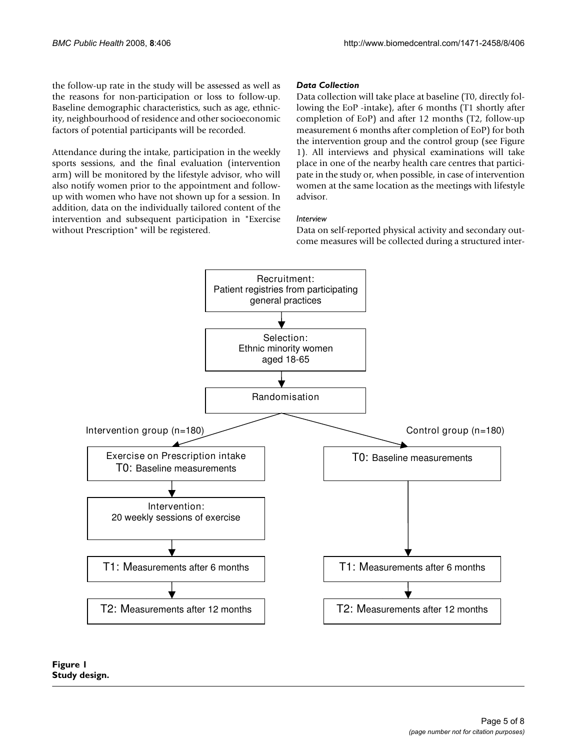the follow-up rate in the study will be assessed as well as the reasons for non-participation or loss to follow-up. Baseline demographic characteristics, such as age, ethnicity, neighbourhood of residence and other socioeconomic factors of potential participants will be recorded.

Attendance during the intake, participation in the weekly sports sessions, and the final evaluation (intervention arm) will be monitored by the lifestyle advisor, who will also notify women prior to the appointment and followup with women who have not shown up for a session. In addition, data on the individually tailored content of the intervention and subsequent participation in "Exercise without Prescription" will be registered.

## *Data Collection*

Data collection will take place at baseline (T0, directly following the EoP -intake), after 6 months (T1 shortly after completion of EoP) and after 12 months (T2, follow-up measurement 6 months after completion of EoP) for both the intervention group and the control group (see Figure 1). All interviews and physical examinations will take place in one of the nearby health care centres that participate in the study or, when possible, in case of intervention women at the same location as the meetings with lifestyle advisor.

### *Interview*

Data on self-reported physical activity and secondary outcome measures will be collected during a structured inter-



**Figure 1 Study design.**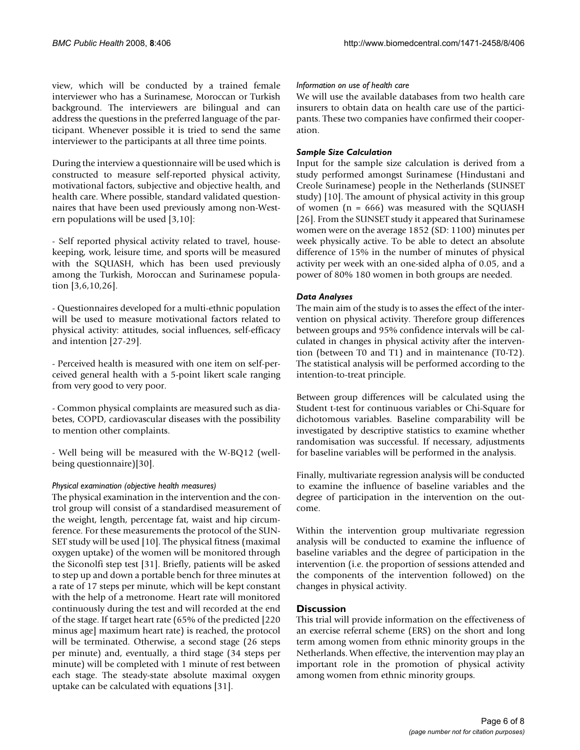view, which will be conducted by a trained female interviewer who has a Surinamese, Moroccan or Turkish background. The interviewers are bilingual and can address the questions in the preferred language of the participant. Whenever possible it is tried to send the same interviewer to the participants at all three time points.

During the interview a questionnaire will be used which is constructed to measure self-reported physical activity, motivational factors, subjective and objective health, and health care. Where possible, standard validated questionnaires that have been used previously among non-Western populations will be used [3,10]:

- Self reported physical activity related to travel, housekeeping, work, leisure time, and sports will be measured with the SQUASH, which has been used previously among the Turkish, Moroccan and Surinamese population [3,6,10,26].

- Questionnaires developed for a multi-ethnic population will be used to measure motivational factors related to physical activity: attitudes, social influences, self-efficacy and intention [27-29].

- Perceived health is measured with one item on self-perceived general health with a 5-point likert scale ranging from very good to very poor.

- Common physical complaints are measured such as diabetes, COPD, cardiovascular diseases with the possibility to mention other complaints.

- Well being will be measured with the W-BQ12 (wellbeing questionnaire)[30].

# *Physical examination (objective health measures)*

The physical examination in the intervention and the control group will consist of a standardised measurement of the weight, length, percentage fat, waist and hip circumference. For these measurements the protocol of the SUN-SET study will be used [10]. The physical fitness (maximal oxygen uptake) of the women will be monitored through the Siconolfi step test [31]. Briefly, patients will be asked to step up and down a portable bench for three minutes at a rate of 17 steps per minute, which will be kept constant with the help of a metronome. Heart rate will monitored continuously during the test and will recorded at the end of the stage. If target heart rate (65% of the predicted [220 minus age] maximum heart rate) is reached, the protocol will be terminated. Otherwise, a second stage (26 steps per minute) and, eventually, a third stage (34 steps per minute) will be completed with 1 minute of rest between each stage. The steady-state absolute maximal oxygen uptake can be calculated with equations [31].

#### *Information on use of health care*

We will use the available databases from two health care insurers to obtain data on health care use of the participants. These two companies have confirmed their cooperation.

#### *Sample Size Calculation*

Input for the sample size calculation is derived from a study performed amongst Surinamese (Hindustani and Creole Surinamese) people in the Netherlands (SUNSET study) [10]. The amount of physical activity in this group of women  $(n = 666)$  was measured with the SQUASH [26]. From the SUNSET study it appeared that Surinamese women were on the average 1852 (SD: 1100) minutes per week physically active. To be able to detect an absolute difference of 15% in the number of minutes of physical activity per week with an one-sided alpha of 0.05, and a power of 80% 180 women in both groups are needed.

### *Data Analyses*

The main aim of the study is to asses the effect of the intervention on physical activity. Therefore group differences between groups and 95% confidence intervals will be calculated in changes in physical activity after the intervention (between T0 and T1) and in maintenance (T0-T2). The statistical analysis will be performed according to the intention-to-treat principle.

Between group differences will be calculated using the Student t-test for continuous variables or Chi-Square for dichotomous variables. Baseline comparability will be investigated by descriptive statistics to examine whether randomisation was successful. If necessary, adjustments for baseline variables will be performed in the analysis.

Finally, multivariate regression analysis will be conducted to examine the influence of baseline variables and the degree of participation in the intervention on the outcome.

Within the intervention group multivariate regression analysis will be conducted to examine the influence of baseline variables and the degree of participation in the intervention (i.e. the proportion of sessions attended and the components of the intervention followed) on the changes in physical activity.

# **Discussion**

This trial will provide information on the effectiveness of an exercise referral scheme (ERS) on the short and long term among women from ethnic minority groups in the Netherlands. When effective, the intervention may play an important role in the promotion of physical activity among women from ethnic minority groups.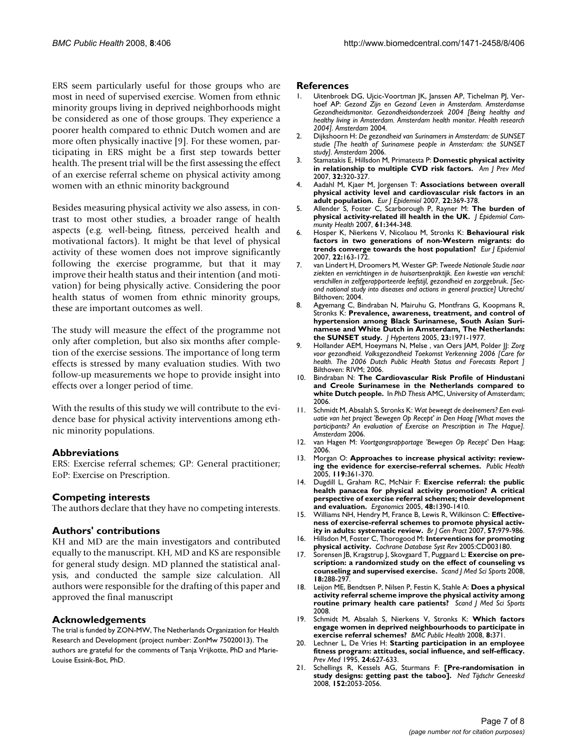ERS seem particularly useful for those groups who are most in need of supervised exercise. Women from ethnic minority groups living in deprived neighborhoods might be considered as one of those groups. They experience a poorer health compared to ethnic Dutch women and are more often physically inactive [9]. For these women, participating in ERS might be a first step towards better health. The present trial will be the first assessing the effect of an exercise referral scheme on physical activity among women with an ethnic minority background

Besides measuring physical activity we also assess, in contrast to most other studies, a broader range of health aspects (e.g. well-being, fitness, perceived health and motivational factors). It might be that level of physical activity of these women does not improve significantly following the exercise programme, but that it may improve their health status and their intention (and motivation) for being physically active. Considering the poor health status of women from ethnic minority groups, these are important outcomes as well.

The study will measure the effect of the programme not only after completion, but also six months after completion of the exercise sessions. The importance of long term effects is stressed by many evaluation studies. With two follow-up measurements we hope to provide insight into effects over a longer period of time.

With the results of this study we will contribute to the evidence base for physical activity interventions among ethnic minority populations.

# **Abbreviations**

ERS: Exercise referral schemes; GP: General practitioner; EoP: Exercise on Prescription.

#### **Competing interests**

The authors declare that they have no competing interests.

#### **Authors' contributions**

KH and MD are the main investigators and contributed equally to the manuscript. KH, MD and KS are responsible for general study design. MD planned the statistical analysis, and conducted the sample size calculation. All authors were responsible for the drafting of this paper and approved the final manuscript

# **Acknowledgements**

The trial is funded by ZON-MW, The Netherlands Organization for Health Research and Development (project number: ZonMw 75020013). The authors are grateful for the comments of Tanja Vrijkotte, PhD and Marie-Louise Essink-Bot, PhD.

#### **References**

- Uitenbroek DG, Ujcic-Voortman JK, Janssen AP, Tichelman PJ, Verhoef AP: *Gezond Zijn en Gezond Leven in Amsterdam. Amsterdamse Gezondheidsmonitor. Gezondheidsonderzoek 2004 [Being healthy and healthy living in Amsterdam. Amsterdam health monitor. Health research 2004]. Amsterdam* 2004.
- 2. Dijkshoorn H: *De gezondheid van Surinamers in Amsterdam: de SUNSET studie [The health of Surinamese people in Amsterdam: the SUNSET study]. Amsterdam* 2006.
- 3. Stamatakis E, Hillsdon M, Primatesta P: **[Domestic physical activity](http://www.ncbi.nlm.nih.gov/entrez/query.fcgi?cmd=Retrieve&db=PubMed&dopt=Abstract&list_uids=17383563) [in relationship to multiple CVD risk factors.](http://www.ncbi.nlm.nih.gov/entrez/query.fcgi?cmd=Retrieve&db=PubMed&dopt=Abstract&list_uids=17383563)** *Am J Prev Med* 2007, **32:**320-327.
- 4. Aadahl M, Kjaer M, Jorgensen T: **[Associations between overall](http://www.ncbi.nlm.nih.gov/entrez/query.fcgi?cmd=Retrieve&db=PubMed&dopt=Abstract&list_uids=17333472) [physical activity level and cardiovascular risk factors in an](http://www.ncbi.nlm.nih.gov/entrez/query.fcgi?cmd=Retrieve&db=PubMed&dopt=Abstract&list_uids=17333472) [adult population.](http://www.ncbi.nlm.nih.gov/entrez/query.fcgi?cmd=Retrieve&db=PubMed&dopt=Abstract&list_uids=17333472)** *Eur J Epidemiol* 2007, **22:**369-378.
- 5. Allender S, Foster C, Scarborough P, Rayner M: **[The burden of](http://www.ncbi.nlm.nih.gov/entrez/query.fcgi?cmd=Retrieve&db=PubMed&dopt=Abstract&list_uids=17372296) [physical activity-related ill health in the UK.](http://www.ncbi.nlm.nih.gov/entrez/query.fcgi?cmd=Retrieve&db=PubMed&dopt=Abstract&list_uids=17372296)** *J Epidemiol Community Health* 2007, **61:**344-348.
- 6. Hosper K, Nierkens V, Nicolaou M, Stronks K: **[Behavioural risk](http://www.ncbi.nlm.nih.gov/entrez/query.fcgi?cmd=Retrieve&db=PubMed&dopt=Abstract&list_uids=17334819) [factors in two generations of non-Western migrants: do](http://www.ncbi.nlm.nih.gov/entrez/query.fcgi?cmd=Retrieve&db=PubMed&dopt=Abstract&list_uids=17334819) [trends converge towards the host population?](http://www.ncbi.nlm.nih.gov/entrez/query.fcgi?cmd=Retrieve&db=PubMed&dopt=Abstract&list_uids=17334819)** *Eur J Epidemiol* 2007, **22:**163-172.
- 7. van Lindert H, Droomers M, Wester GP: *Tweede Nationale Studie naar ziekten en verrichtingen in de huisartsenpraktijk. Een kwestie van verschil: verschillen in zelfgerapporteerde leefstijl, gezondheid en zorggebruik. [Second national study into diseases and actions in general practice]* Utrecht/ Bilthoven; 2004.
- 8. Agyemang C, Bindraban N, Mairuhu G, Montfrans G, Koopmans R, Stronks K: **[Prevalence, awareness, treatment, and control of](http://www.ncbi.nlm.nih.gov/entrez/query.fcgi?cmd=Retrieve&db=PubMed&dopt=Abstract&list_uids=16208137) [hypertension among Black Surinamese, South Asian Suri](http://www.ncbi.nlm.nih.gov/entrez/query.fcgi?cmd=Retrieve&db=PubMed&dopt=Abstract&list_uids=16208137)namese and White Dutch in Amsterdam, The Netherlands: [the SUNSET study.](http://www.ncbi.nlm.nih.gov/entrez/query.fcgi?cmd=Retrieve&db=PubMed&dopt=Abstract&list_uids=16208137)** *J Hypertens* 2005, **23:**1971-1977.
- 9. Hollander AEM, Hoeymans N, Melse , van Oers JAM, Polder JJ: *Zorg voor gezondheid. Volksgezondheid Toekomst Verkenning 2006 [Care for health. The 2006 Dutch Public Health Status and Forecasts Report ]* Bilthoven: RIVM; 2006.
- 10. Bindraban N: **The Cardiovascular Risk Profile of Hindustani and Creole Surinamese in the Netherlands compared to white Dutch people.** In *PhD Thesis* AMC, University of Amsterdam; 2006.
- 11. Schmidt M, Absalah S, Stronks K: *Wat beweegt de deelnemers? Een evaluatie van het project 'Bewegen Op Recept' in Den Haag [What moves the participants? An evaluation of Exercise on Prescription in The Hague]. Amsterdam* 2006.
- 12. van Hagen M: *Voortgangsrapportage 'Bewegen Op Recept'* Den Haag; 2006.
- 13. Morgan O: **[Approaches to increase physical activity: review](http://www.ncbi.nlm.nih.gov/entrez/query.fcgi?cmd=Retrieve&db=PubMed&dopt=Abstract&list_uids=15780323)[ing the evidence for exercise-referral schemes.](http://www.ncbi.nlm.nih.gov/entrez/query.fcgi?cmd=Retrieve&db=PubMed&dopt=Abstract&list_uids=15780323)** *Public Health* 2005, **119:**361-370.
- 14. Dugdill L, Graham RC, McNair F: **[Exercise referral: the public](http://www.ncbi.nlm.nih.gov/entrez/query.fcgi?cmd=Retrieve&db=PubMed&dopt=Abstract&list_uids=16338708) [health panacea for physical activity promotion? A critical](http://www.ncbi.nlm.nih.gov/entrez/query.fcgi?cmd=Retrieve&db=PubMed&dopt=Abstract&list_uids=16338708) perspective of exercise referral schemes; their development [and evaluation.](http://www.ncbi.nlm.nih.gov/entrez/query.fcgi?cmd=Retrieve&db=PubMed&dopt=Abstract&list_uids=16338708)** *Ergonomics* 2005, **48:**1390-1410.
- 15. Williams NH, Hendry M, France B, Lewis R, Wilkinson C: **[Effective](http://www.ncbi.nlm.nih.gov/entrez/query.fcgi?cmd=Retrieve&db=PubMed&dopt=Abstract&list_uids=18252074)[ness of exercise-referral schemes to promote physical activ](http://www.ncbi.nlm.nih.gov/entrez/query.fcgi?cmd=Retrieve&db=PubMed&dopt=Abstract&list_uids=18252074)[ity in adults: systematic review.](http://www.ncbi.nlm.nih.gov/entrez/query.fcgi?cmd=Retrieve&db=PubMed&dopt=Abstract&list_uids=18252074)** *Br J Gen Pract* 2007, **57:**979-986.
- 16. Hillsdon M, Foster C, Thorogood M: **[Interventions for promoting](http://www.ncbi.nlm.nih.gov/entrez/query.fcgi?cmd=Retrieve&db=PubMed&dopt=Abstract&list_uids=15674903) [physical activity.](http://www.ncbi.nlm.nih.gov/entrez/query.fcgi?cmd=Retrieve&db=PubMed&dopt=Abstract&list_uids=15674903)** *Cochrane Database Syst Rev* 2005:CD003180.
- 17. Sorensen JB, Kragstrup J, Skovgaard T, Puggaard L: [Exercise on pre](http://www.ncbi.nlm.nih.gov/entrez/query.fcgi?cmd=Retrieve&db=PubMed&dopt=Abstract&list_uids=18503642)**[scription: a randomized study on the effect of counseling vs](http://www.ncbi.nlm.nih.gov/entrez/query.fcgi?cmd=Retrieve&db=PubMed&dopt=Abstract&list_uids=18503642) [counseling and supervised exercise.](http://www.ncbi.nlm.nih.gov/entrez/query.fcgi?cmd=Retrieve&db=PubMed&dopt=Abstract&list_uids=18503642)** *Scand J Med Sci Sports* 2008, **18:**288-297.
- 18. Leijon ME, Bendtsen P, Nilsen P, Festin K, Stahle A: **Does a physical activity referral scheme improve the physical activity among routine primary health care patients?** *Scand J Med Sci Sports* 2008.
- 19. Schmidt M, Absalah S, Nierkens V, Stronks K: **[Which factors](http://www.ncbi.nlm.nih.gov/entrez/query.fcgi?cmd=Retrieve&db=PubMed&dopt=Abstract&list_uids=18950533) [engage women in deprived neighbourhoods to participate in](http://www.ncbi.nlm.nih.gov/entrez/query.fcgi?cmd=Retrieve&db=PubMed&dopt=Abstract&list_uids=18950533) [exercise referral schemes?](http://www.ncbi.nlm.nih.gov/entrez/query.fcgi?cmd=Retrieve&db=PubMed&dopt=Abstract&list_uids=18950533)** *BMC Public Health* 2008, **8:**371.
- 20. Lechner L, De Vries H: **[Starting participation in an employee](http://www.ncbi.nlm.nih.gov/entrez/query.fcgi?cmd=Retrieve&db=PubMed&dopt=Abstract&list_uids=8610087) [fitness program: attitudes, social influence, and self-efficacy.](http://www.ncbi.nlm.nih.gov/entrez/query.fcgi?cmd=Retrieve&db=PubMed&dopt=Abstract&list_uids=8610087)** *Prev Med* 1995, **24:**627-633.
- 21. Schellings R, Kessels AG, Sturmans F: **[\[Pre-randomisation in](http://www.ncbi.nlm.nih.gov/entrez/query.fcgi?cmd=Retrieve&db=PubMed&dopt=Abstract&list_uids=18837179) [study designs: getting past the taboo\].](http://www.ncbi.nlm.nih.gov/entrez/query.fcgi?cmd=Retrieve&db=PubMed&dopt=Abstract&list_uids=18837179)** *Ned Tijdschr Geneeskd* 2008, **152:**2053-2056.